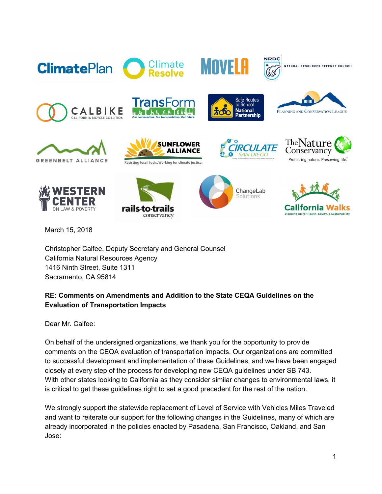









March 15, 2018

Christopher Calfee, Deputy Secretary and General Counsel California Natural Resources Agency 1416 Ninth Street, Suite 1311 Sacramento, CA 95814

## **RE: Comments on Amendments and Addition to the State CEQA Guidelines on the Evaluation of Transportation Impacts**

Dear Mr. Calfee:

On behalf of the undersigned organizations, we thank you for the opportunity to provide comments on the CEQA evaluation of transportation impacts. Our organizations are committed to successful development and implementation of these Guidelines, and we have been engaged closely at every step of the process for developing new CEQA guidelines under SB 743. With other states looking to California as they consider similar changes to environmental laws, it is critical to get these guidelines right to set a good precedent for the rest of the nation.

We strongly support the statewide replacement of Level of Service with Vehicles Miles Traveled and want to reiterate our support for the following changes in the Guidelines, many of which are already incorporated in the policies enacted by Pasadena, San Francisco, Oakland, and San Jose: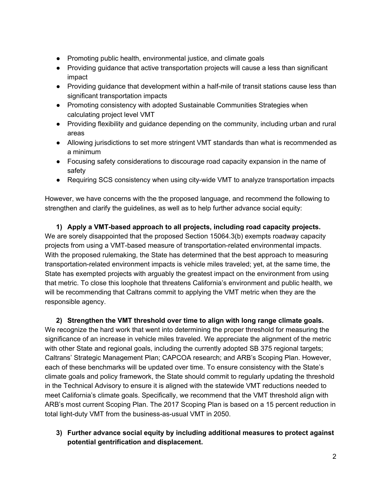- Promoting public health, environmental justice, and climate goals
- Providing guidance that active transportation projects will cause a less than significant impact
- Providing guidance that development within a half-mile of transit stations cause less than significant transportation impacts
- Promoting consistency with adopted Sustainable Communities Strategies when calculating project level VMT
- Providing flexibility and guidance depending on the community, including urban and rural areas
- Allowing jurisdictions to set more stringent VMT standards than what is recommended as a minimum
- Focusing safety considerations to discourage road capacity expansion in the name of safety
- Requiring SCS consistency when using city-wide VMT to analyze transportation impacts

However, we have concerns with the the proposed language, and recommend the following to strengthen and clarify the guidelines, as well as to help further advance social equity:

**1) Apply a VMT-based approach to all projects, including road capacity projects.** We are sorely disappointed that the proposed Section 15064.3(b) exempts roadway capacity projects from using a VMT-based measure of transportation-related environmental impacts. With the proposed rulemaking, the State has determined that the best approach to measuring transportation-related environment impacts is vehicle miles traveled; yet, at the same time, the State has exempted projects with arguably the greatest impact on the environment from using that metric. To close this loophole that threatens California's environment and public health, we will be recommending that Caltrans commit to applying the VMT metric when they are the responsible agency.

**2) Strengthen the VMT threshold over time to align with long range climate goals.** We recognize the hard work that went into determining the proper threshold for measuring the significance of an increase in vehicle miles traveled. We appreciate the alignment of the metric with other State and regional goals, including the currently adopted SB 375 regional targets; Caltrans' Strategic Management Plan; CAPCOA research; and ARB's Scoping Plan. However, each of these benchmarks will be updated over time. To ensure consistency with the State's climate goals and policy framework, the State should commit to regularly updating the threshold in the Technical Advisory to ensure it is aligned with the statewide VMT reductions needed to meet California's climate goals. Specifically, we recommend that the VMT threshold align with ARB's most current Scoping Plan. The 2017 Scoping Plan is based on a 15 percent reduction in total light-duty VMT from the business-as-usual VMT in 2050.

**3) Further advance social equity by including additional measures to protect against potential gentrification and displacement.**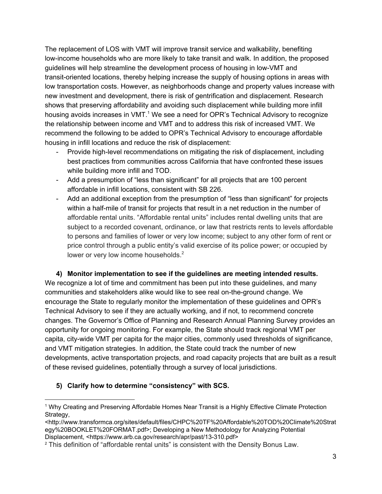The replacement of LOS with VMT will improve transit service and walkability, benefiting low-income households who are more likely to take transit and walk. In addition, the proposed guidelines will help streamline the development process of housing in low-VMT and transit-oriented locations, thereby helping increase the supply of housing options in areas with low transportation costs. However, as neighborhoods change and property values increase with new investment and development, there is risk of gentrification and displacement. Research shows that preserving affordability and avoiding such displacement while building more infill housing avoids increases in VMT.<sup>1</sup> We see a need for OPR's Technical Advisory to recognize the relationship between income and VMT and to address this risk of increased VMT. We recommend the following to be added to OPR's Technical Advisory to encourage affordable housing in infill locations and reduce the risk of displacement:

- Provide high-level recommendations on mitigating the risk of displacement, including best practices from communities across California that have confronted these issues while building more infill and TOD.
- Add a presumption of "less than significant" for all projects that are 100 percent affordable in infill locations, consistent with SB 226.
- Add an additional exception from the presumption of "less than significant" for projects within a half-mile of transit for projects that result in a net reduction in the number of affordable rental units. "Affordable rental units" includes rental dwelling units that are subject to a recorded covenant, ordinance, or law that restricts rents to levels affordable to persons and families of lower or very low income; subject to any other form of rent or price control through a public entity's valid exercise of its police power; or occupied by lower or very low income households. $<sup>2</sup>$ </sup>

**4) Monitor implementation to see if the guidelines are meeting intended results.** We recognize a lot of time and commitment has been put into these guidelines, and many communities and stakeholders alike would like to see real on-the-ground change. We encourage the State to regularly monitor the implementation of these guidelines and OPR's Technical Advisory to see if they are actually working, and if not, to recommend concrete changes. The Governor's Office of Planning and Research Annual Planning Survey provides an opportunity for ongoing monitoring. For example, the State should track regional VMT per capita, city-wide VMT per capita for the major cities, commonly used thresholds of significance, and VMT mitigation strategies. In addition, the State could track the number of new developments, active transportation projects, and road capacity projects that are built as a result of these revised guidelines, potentially through a survey of local jurisdictions.

## **5) Clarify how to determine "consistency" with SCS.**

<sup>1</sup> Why Creating and Preserving Affordable Homes Near Transit is a Highly Effective Climate Protection Strategy,

<sup>&</sup>lt;[http://www.transformca.org/sites/default/files/CHPC%20TF%20Affordable%20TOD%20Climate%20Strat](http://www.transformca.org/sites/default/files/CHPC%20TF%20Affordable%20TOD%20Climate%20Strategy%20BOOKLET%20FORMAT.pdf) [egy%20BOOKLET%20FORMAT.pdf](http://www.transformca.org/sites/default/files/CHPC%20TF%20Affordable%20TOD%20Climate%20Strategy%20BOOKLET%20FORMAT.pdf)>; Developing a New Methodology for Analyzing Potential Displacement, <https://www.arb.ca.gov/research/apr/past/13-310.pdf>

<sup>&</sup>lt;sup>2</sup> This definition of "affordable rental units" is consistent with the Density Bonus Law.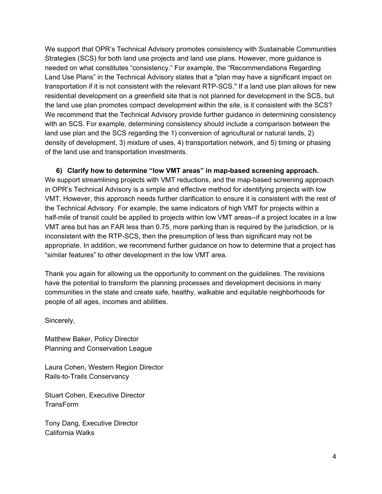We support that OPR's Technical Advisory promotes consistency with Sustainable Communities Strategies (SCS) for both land use projects and land use plans. However, more guidance is needed on what constitutes "consistency." For example, the "Recommendations Regarding Land Use Plans" in the Technical Advisory states that a "plan may have a significant impact on transportation if it is not consistent with the relevant RTP-SCS." If a land use plan allows for new residential development on a greenfield site that is not planned for development in the SCS, but the land use plan promotes compact development within the site, is it consistent with the SCS? We recommend that the Technical Advisory provide further guidance in determining consistency with an SCS. For example, determining consistency should include a comparison between the land use plan and the SCS regarding the 1) conversion of agricultural or natural lands, 2) density of development, 3) mixture of uses, 4) transportation network, and 5) timing or phasing of the land use and transportation investments.

**6) Clarify how to determine "low VMT areas" in map-based screening approach.** We support streamlining projects with VMT reductions, and the map-based screening approach in OPR's Technical Advisory is a simple and effective method for identifying projects with low VMT. However, this approach needs further clarification to ensure it is consistent with the rest of the Technical Advisory. For example, the same indicators of high VMT for projects within a half-mile of transit could be applied to projects within low VMT areas--if a project locates in a low VMT area but has an FAR less than 0.75, more parking than is required by the jurisdiction, or is inconsistent with the RTP-SCS, then the presumption of less than significant may not be appropriate. In addition, we recommend further guidance on how to determine that a project has "similar features" to other development in the low VMT area.

Thank you again for allowing us the opportunity to comment on the guidelines. The revisions have the potential to transform the planning processes and development decisions in many communities in the state and create safe, healthy, walkable and equitable neighborhoods for people of all ages, incomes and abilities.

Sincerely,

Matthew Baker, Policy Director Planning and Conservation League

Laura Cohen, Western Region Director Rails-to-Trails Conservancy

Stuart Cohen, Executive Director TransForm

Tony Dang, Executive Director California Walks